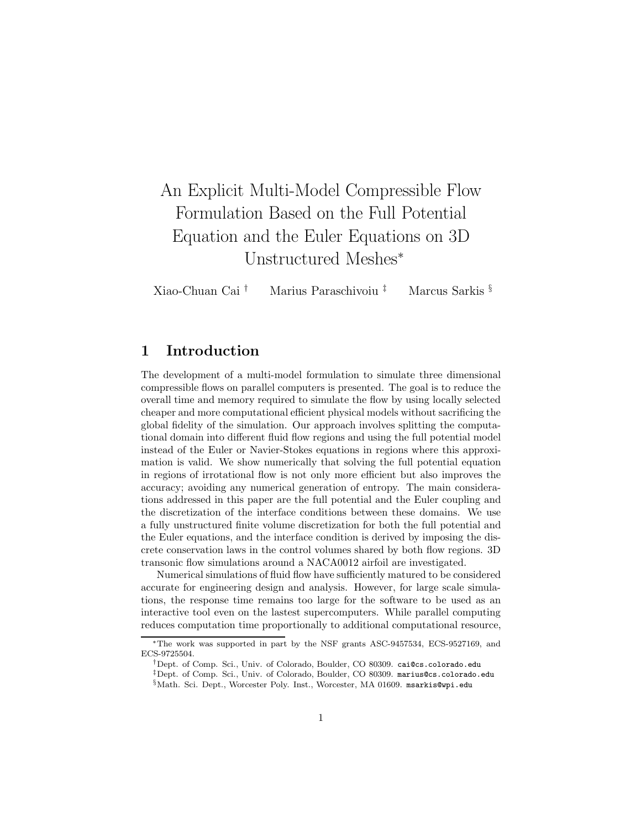# An Explicit Multi-Model Compressible Flow Formulation Based on the Full Potential Equation and the Euler Equations on 3D Unstructured Meshes<sup>∗</sup>

Xiao-Chuan Cai † Marius Paraschivoiu ‡ Marcus Sarkis §

# **1 Introduction**

The development of a multi-model formulation to simulate three dimensional compressible flows on parallel computers is presented. The goal is to reduce the overall time and memory required to simulate the flow by using locally selected cheaper and more computational efficient physical models without sacrificing the global fidelity of the simulation. Our approach involves splitting the computational domain into different fluid flow regions and using the full potential model instead of the Euler or Navier-Stokes equations in regions where this approximation is valid. We show numerically that solving the full potential equation in regions of irrotational flow is not only more efficient but also improves the accuracy; avoiding any numerical generation of entropy. The main considerations addressed in this paper are the full potential and the Euler coupling and the discretization of the interface conditions between these domains. We use a fully unstructured finite volume discretization for both the full potential and the Euler equations, and the interface condition is derived by imposing the discrete conservation laws in the control volumes shared by both flow regions. 3D transonic flow simulations around a NACA0012 airfoil are investigated.

Numerical simulations of fluid flow have sufficiently matured to be considered accurate for engineering design and analysis. However, for large scale simulations, the response time remains too large for the software to be used as an interactive tool even on the lastest supercomputers. While parallel computing reduces computation time proportionally to additional computational resource,

<sup>∗</sup>The work was supported in part by the NSF grants ASC-9457534, ECS-9527169, and ECS-9725504.

<sup>†</sup>Dept. of Comp. Sci., Univ. of Colorado, Boulder, CO 80309. cai@cs.colorado.edu

<sup>‡</sup>Dept. of Comp. Sci., Univ. of Colorado, Boulder, CO 80309. marius@cs.colorado.edu

<sup>§</sup>Math. Sci. Dept., Worcester Poly. Inst., Worcester, MA 01609. msarkis@wpi.edu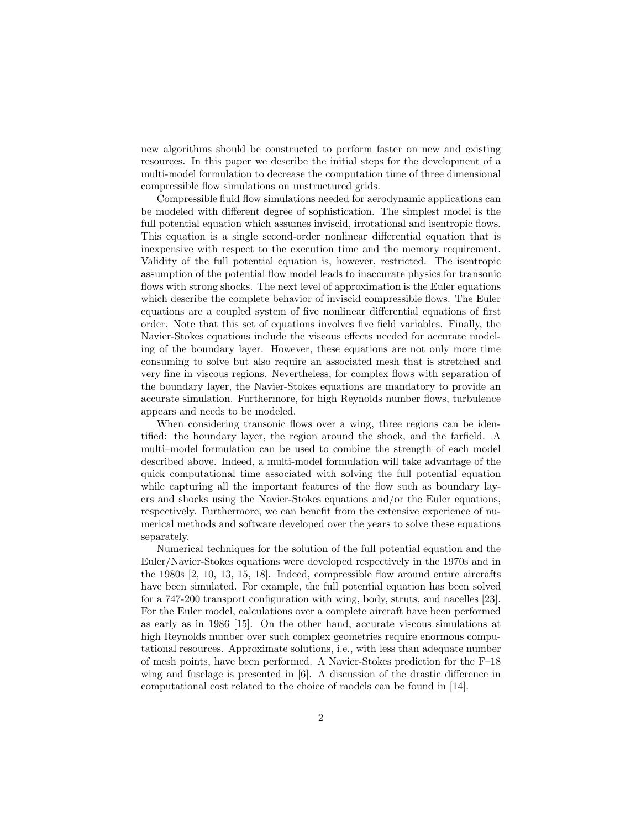new algorithms should be constructed to perform faster on new and existing resources. In this paper we describe the initial steps for the development of a multi-model formulation to decrease the computation time of three dimensional compressible flow simulations on unstructured grids.

Compressible fluid flow simulations needed for aerodynamic applications can be modeled with different degree of sophistication. The simplest model is the full potential equation which assumes inviscid, irrotational and isentropic flows. This equation is a single second-order nonlinear differential equation that is inexpensive with respect to the execution time and the memory requirement. Validity of the full potential equation is, however, restricted. The isentropic assumption of the potential flow model leads to inaccurate physics for transonic flows with strong shocks. The next level of approximation is the Euler equations which describe the complete behavior of inviscid compressible flows. The Euler equations are a coupled system of five nonlinear differential equations of first order. Note that this set of equations involves five field variables. Finally, the Navier-Stokes equations include the viscous effects needed for accurate modeling of the boundary layer. However, these equations are not only more time consuming to solve but also require an associated mesh that is stretched and very fine in viscous regions. Nevertheless, for complex flows with separation of the boundary layer, the Navier-Stokes equations are mandatory to provide an accurate simulation. Furthermore, for high Reynolds number flows, turbulence appears and needs to be modeled.

When considering transonic flows over a wing, three regions can be identified: the boundary layer, the region around the shock, and the farfield. A multi–model formulation can be used to combine the strength of each model described above. Indeed, a multi-model formulation will take advantage of the quick computational time associated with solving the full potential equation while capturing all the important features of the flow such as boundary layers and shocks using the Navier-Stokes equations and/or the Euler equations, respectively. Furthermore, we can benefit from the extensive experience of numerical methods and software developed over the years to solve these equations separately.

Numerical techniques for the solution of the full potential equation and the Euler/Navier-Stokes equations were developed respectively in the 1970s and in the 1980s [2, 10, 13, 15, 18]. Indeed, compressible flow around entire aircrafts have been simulated. For example, the full potential equation has been solved for a 747-200 transport configuration with wing, body, struts, and nacelles [23]. For the Euler model, calculations over a complete aircraft have been performed as early as in 1986 [15]. On the other hand, accurate viscous simulations at high Reynolds number over such complex geometries require enormous computational resources. Approximate solutions, i.e., with less than adequate number of mesh points, have been performed. A Navier-Stokes prediction for the F–18 wing and fuselage is presented in [6]. A discussion of the drastic difference in computational cost related to the choice of models can be found in [14].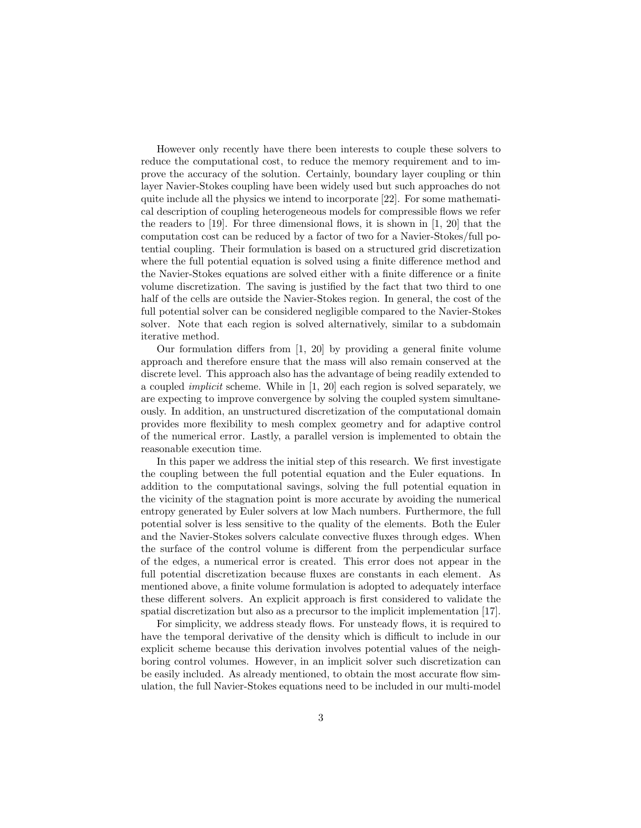However only recently have there been interests to couple these solvers to reduce the computational cost, to reduce the memory requirement and to improve the accuracy of the solution. Certainly, boundary layer coupling or thin layer Navier-Stokes coupling have been widely used but such approaches do not quite include all the physics we intend to incorporate [22]. For some mathematical description of coupling heterogeneous models for compressible flows we refer the readers to [19]. For three dimensional flows, it is shown in [1, 20] that the computation cost can be reduced by a factor of two for a Navier-Stokes/full potential coupling. Their formulation is based on a structured grid discretization where the full potential equation is solved using a finite difference method and the Navier-Stokes equations are solved either with a finite difference or a finite volume discretization. The saving is justified by the fact that two third to one half of the cells are outside the Navier-Stokes region. In general, the cost of the full potential solver can be considered negligible compared to the Navier-Stokes solver. Note that each region is solved alternatively, similar to a subdomain iterative method.

Our formulation differs from [1, 20] by providing a general finite volume approach and therefore ensure that the mass will also remain conserved at the discrete level. This approach also has the advantage of being readily extended to a coupled implicit scheme. While in [1, 20] each region is solved separately, we are expecting to improve convergence by solving the coupled system simultaneously. In addition, an unstructured discretization of the computational domain provides more flexibility to mesh complex geometry and for adaptive control of the numerical error. Lastly, a parallel version is implemented to obtain the reasonable execution time.

In this paper we address the initial step of this research. We first investigate the coupling between the full potential equation and the Euler equations. In addition to the computational savings, solving the full potential equation in the vicinity of the stagnation point is more accurate by avoiding the numerical entropy generated by Euler solvers at low Mach numbers. Furthermore, the full potential solver is less sensitive to the quality of the elements. Both the Euler and the Navier-Stokes solvers calculate convective fluxes through edges. When the surface of the control volume is different from the perpendicular surface of the edges, a numerical error is created. This error does not appear in the full potential discretization because fluxes are constants in each element. As mentioned above, a finite volume formulation is adopted to adequately interface these different solvers. An explicit approach is first considered to validate the spatial discretization but also as a precursor to the implicit implementation [17].

For simplicity, we address steady flows. For unsteady flows, it is required to have the temporal derivative of the density which is difficult to include in our explicit scheme because this derivation involves potential values of the neighboring control volumes. However, in an implicit solver such discretization can be easily included. As already mentioned, to obtain the most accurate flow simulation, the full Navier-Stokes equations need to be included in our multi-model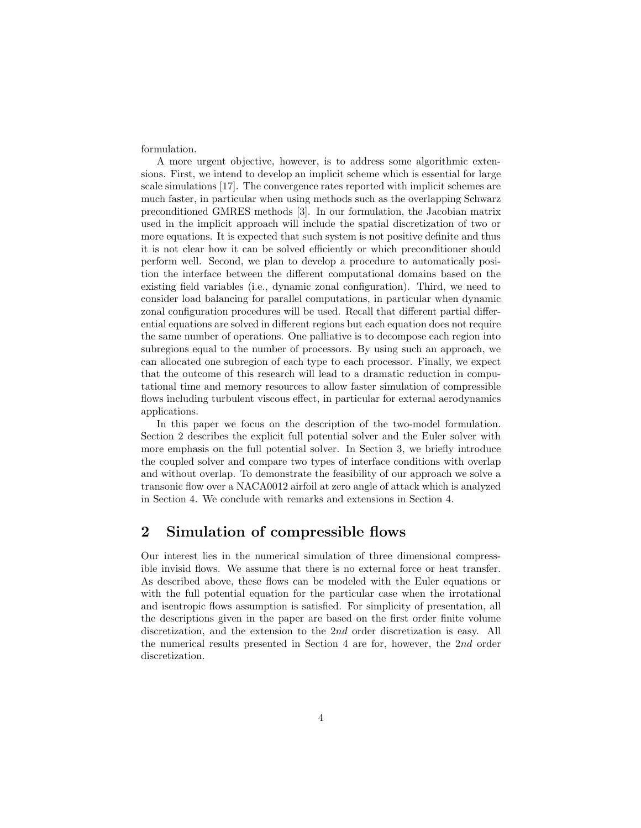formulation.

A more urgent objective, however, is to address some algorithmic extensions. First, we intend to develop an implicit scheme which is essential for large scale simulations [17]. The convergence rates reported with implicit schemes are much faster, in particular when using methods such as the overlapping Schwarz preconditioned GMRES methods [3]. In our formulation, the Jacobian matrix used in the implicit approach will include the spatial discretization of two or more equations. It is expected that such system is not positive definite and thus it is not clear how it can be solved efficiently or which preconditioner should perform well. Second, we plan to develop a procedure to automatically position the interface between the different computational domains based on the existing field variables (i.e., dynamic zonal configuration). Third, we need to consider load balancing for parallel computations, in particular when dynamic zonal configuration procedures will be used. Recall that different partial differential equations are solved in different regions but each equation does not require the same number of operations. One palliative is to decompose each region into subregions equal to the number of processors. By using such an approach, we can allocated one subregion of each type to each processor. Finally, we expect that the outcome of this research will lead to a dramatic reduction in computational time and memory resources to allow faster simulation of compressible flows including turbulent viscous effect, in particular for external aerodynamics applications.

In this paper we focus on the description of the two-model formulation. Section 2 describes the explicit full potential solver and the Euler solver with more emphasis on the full potential solver. In Section 3, we briefly introduce the coupled solver and compare two types of interface conditions with overlap and without overlap. To demonstrate the feasibility of our approach we solve a transonic flow over a NACA0012 airfoil at zero angle of attack which is analyzed in Section 4. We conclude with remarks and extensions in Section 4.

# **2 Simulation of compressible flows**

Our interest lies in the numerical simulation of three dimensional compressible invisid flows. We assume that there is no external force or heat transfer. As described above, these flows can be modeled with the Euler equations or with the full potential equation for the particular case when the irrotational and isentropic flows assumption is satisfied. For simplicity of presentation, all the descriptions given in the paper are based on the first order finite volume discretization, and the extension to the 2nd order discretization is easy. All the numerical results presented in Section 4 are for, however, the 2nd order discretization.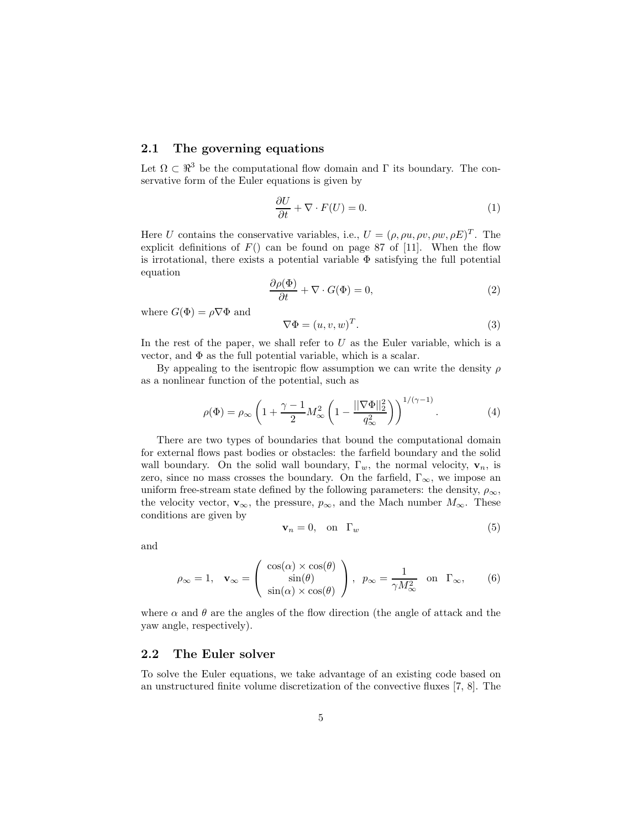## **2.1 The governing equations**

Let  $\Omega \subset \mathbb{R}^3$  be the computational flow domain and Γ its boundary. The conservative form of the Euler equations is given by

$$
\frac{\partial U}{\partial t} + \nabla \cdot F(U) = 0. \tag{1}
$$

Here U contains the conservative variables, i.e.,  $U = (\rho, \rho u, \rho v, \rho w, \rho E)^T$ . The explicit definitions of  $F()$  can be found on page 87 of [11]. When the flow is irrotational, there exists a potential variable  $\Phi$  satisfying the full potential equation

$$
\frac{\partial \rho(\Phi)}{\partial t} + \nabla \cdot G(\Phi) = 0,\tag{2}
$$

where  $G(\Phi) = \rho \nabla \Phi$  and

$$
\nabla \Phi = (u, v, w)^T. \tag{3}
$$

In the rest of the paper, we shall refer to  $U$  as the Euler variable, which is a vector, and  $\Phi$  as the full potential variable, which is a scalar.

By appealing to the isentropic flow assumption we can write the density  $\rho$ as a nonlinear function of the potential, such as

$$
\rho(\Phi) = \rho_{\infty} \left( 1 + \frac{\gamma - 1}{2} M_{\infty}^2 \left( 1 - \frac{\|\nabla \Phi\|_2^2}{q_{\infty}^2} \right) \right)^{1/(\gamma - 1)}.
$$
\n(4)

There are two types of boundaries that bound the computational domain for external flows past bodies or obstacles: the farfield boundary and the solid wall boundary. On the solid wall boundary,  $\Gamma_w$ , the normal velocity,  $\mathbf{v}_n$ , is zero, since no mass crosses the boundary. On the farfield,  $\Gamma_{\infty}$ , we impose an uniform free-stream state defined by the following parameters: the density,  $\rho_{\infty}$ , the velocity vector,  $\mathbf{v}_{\infty}$ , the pressure,  $p_{\infty}$ , and the Mach number  $M_{\infty}$ . These conditions are given by

$$
\mathbf{v}_n = 0, \quad \text{on} \quad \Gamma_w \tag{5}
$$

and

$$
\rho_{\infty} = 1, \quad \mathbf{v}_{\infty} = \begin{pmatrix} \cos(\alpha) \times \cos(\theta) \\ \sin(\theta) \\ \sin(\alpha) \times \cos(\theta) \end{pmatrix}, \quad p_{\infty} = \frac{1}{\gamma M_{\infty}^2} \quad \text{on} \quad \Gamma_{\infty}, \tag{6}
$$

where  $\alpha$  and  $\theta$  are the angles of the flow direction (the angle of attack and the yaw angle, respectively).

### **2.2 The Euler solver**

To solve the Euler equations, we take advantage of an existing code based on an unstructured finite volume discretization of the convective fluxes [7, 8]. The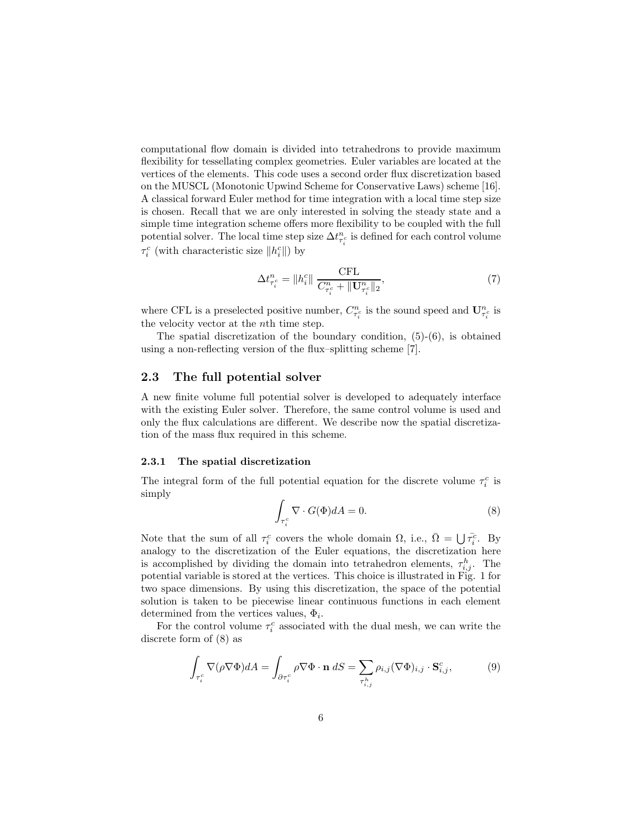computational flow domain is divided into tetrahedrons to provide maximum flexibility for tessellating complex geometries. Euler variables are located at the vertices of the elements. This code uses a second order flux discretization based on the MUSCL (Monotonic Upwind Scheme for Conservative Laws) scheme [16]. A classical forward Euler method for time integration with a local time step size is chosen. Recall that we are only interested in solving the steady state and a simple time integration scheme offers more flexibility to be coupled with the full potential solver. The local time step size  $\Delta t_{\tau_i^c}^n$  is defined for each control volume  $\tau^c_i$  (with characteristic size  $\|h^c_i\|)$  by

$$
\Delta t_{\tau_i^c}^n = \|h_i^c\| \frac{\text{CFL}}{C_{\tau_i^c}^n + \|\mathbf{U}_{\tau_i^c}^n\|_2},\tag{7}
$$

where CFL is a preselected positive number,  $C_{\tau_i^c}^n$  is the sound speed and  $\mathbf{U}_{\tau_i^c}^n$  is the velocity vector at the nth time step.

The spatial discretization of the boundary condition,  $(5)-(6)$ , is obtained using a non-reflecting version of the flux–splitting scheme [7].

### **2.3 The full potential solver**

A new finite volume full potential solver is developed to adequately interface with the existing Euler solver. Therefore, the same control volume is used and only the flux calculations are different. We describe now the spatial discretization of the mass flux required in this scheme.

### **2.3.1 The spatial discretization**

The integral form of the full potential equation for the discrete volume  $\tau_i^c$  is simply

$$
\int_{\tau_i^c} \nabla \cdot G(\Phi) dA = 0.
$$
\n(8)

Note that the sum of all  $\tau_i^c$  covers the whole domain  $\Omega$ , i.e.,  $\overline{\Omega} = \bigcup \overline{\tau_i^c}$ . By analogy to the discretization of the Euler equations, the discretization here is accomplished by dividing the domain into tetrahedron elements,  $\tau_{i,j}^h$ . The potential variable is stored at the vertices. This choice is illustrated in Fig. 1 for two space dimensions. By using this discretization, the space of the potential solution is taken to be piecewise linear continuous functions in each element determined from the vertices values,  $\Phi_i$ .

For the control volume  $\tau_i^c$  associated with the dual mesh, we can write the discrete form of (8) as

$$
\int_{\tau_i^c} \nabla (\rho \nabla \Phi) dA = \int_{\partial \tau_i^c} \rho \nabla \Phi \cdot \mathbf{n} \, dS = \sum_{\tau_{i,j}^h} \rho_{i,j} (\nabla \Phi)_{i,j} \cdot \mathbf{S}_{i,j}^c,\tag{9}
$$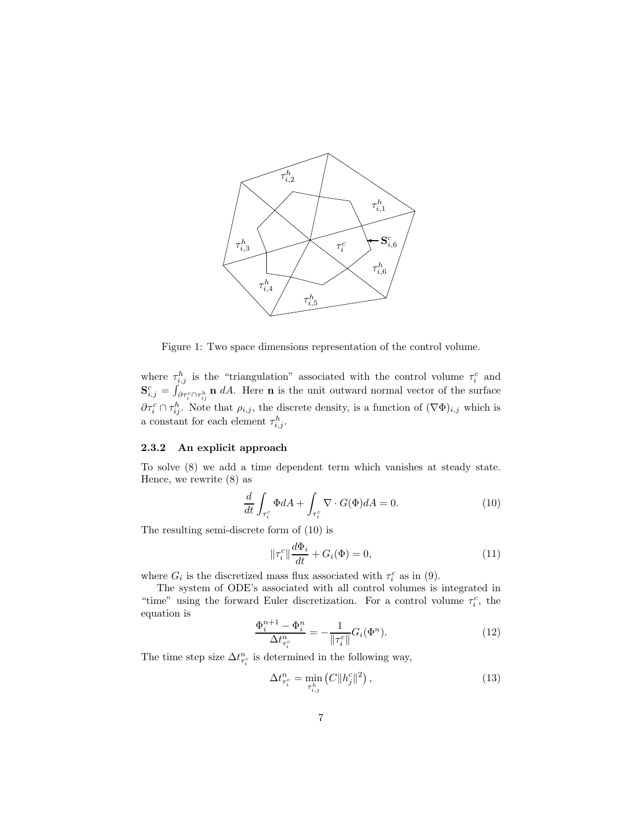

Figure 1: Two space dimensions representation of the control volume.

where  $\tau_{i,j}^h$  is the "triangulation" associated with the control volume  $\tau_i^c$  and  $\mathbf{S}_{i,j}^c = \int_{\partial \tau_i^c \cap \tau_{ij}^h} \mathbf{n} \ dA$ . Here **n** is the unit outward normal vector of the surface  $\partial \tau_i^c \cap \tau_{ij}^h$ . Note that  $\rho_{i,j}$ , the discrete density, is a function of  $(\nabla \Phi)_{i,j}$  which is a constant for each element  $\tau_{i,j}^h$ .

## **2.3.2 An explicit approach**

To solve (8) we add a time dependent term which vanishes at steady state. Hence, we rewrite (8) as

$$
\frac{d}{dt} \int_{\tau_i^c} \Phi dA + \int_{\tau_i^c} \nabla \cdot G(\Phi) dA = 0.
$$
\n(10)

The resulting semi-discrete form of (10) is

$$
\|\tau_i^c\| \frac{d\Phi_i}{dt} + G_i(\Phi) = 0,\tag{11}
$$

where  $G_i$  is the discretized mass flux associated with  $\tau_i^c$  as in (9).

The system of ODE's associated with all control volumes is integrated in "time" using the forward Euler discretization. For a control volume  $\tau_i^c$ , the equation is

$$
\frac{\Phi_i^{n+1} - \Phi_i^n}{\Delta t_{\tau_i^c}^n} = -\frac{1}{\|\tau_i^c\|} G_i(\Phi^n). \tag{12}
$$

The time step size  $\Delta t_{\tau_i^c}^n$  is determined in the following way,

$$
\Delta t_{\tau_i^c}^n = \min_{\tau_{i,j}^h} (C \|h_j^c\|^2), \tag{13}
$$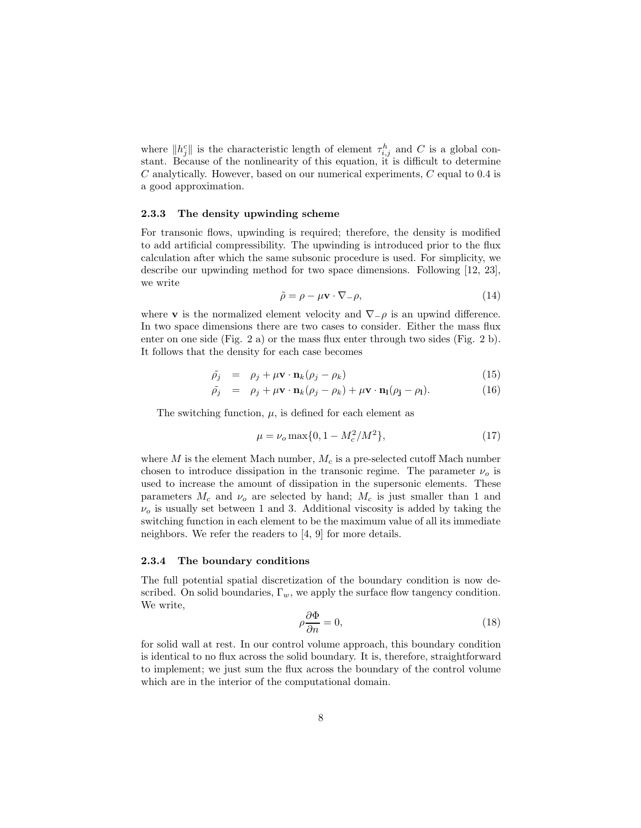where  $||h_j^c||$  is the characteristic length of element  $\tau_{i,j}^h$  and C is a global constant. Because of the nonlinearity of this equation, it is difficult to determine C analytically. However, based on our numerical experiments, C equal to 0.4 is a good approximation.

### **2.3.3 The density upwinding scheme**

For transonic flows, upwinding is required; therefore, the density is modified to add artificial compressibility. The upwinding is introduced prior to the flux calculation after which the same subsonic procedure is used. For simplicity, we describe our upwinding method for two space dimensions. Following [12, 23], we write

$$
\tilde{\rho} = \rho - \mu \mathbf{v} \cdot \nabla_{-}\rho, \tag{14}
$$

where **v** is the normalized element velocity and  $\nabla$ <sub>− $\rho$ </sub> is an upwind difference. In two space dimensions there are two cases to consider. Either the mass flux enter on one side (Fig. 2 a) or the mass flux enter through two sides (Fig. 2 b). It follows that the density for each case becomes

$$
\tilde{\rho}_j = \rho_j + \mu \mathbf{v} \cdot \mathbf{n}_k (\rho_j - \rho_k) \tag{15}
$$

$$
\tilde{\rho}_j = \rho_j + \mu \mathbf{v} \cdot \mathbf{n}_k (\rho_j - \rho_k) + \mu \mathbf{v} \cdot \mathbf{n}_l (\rho_j - \rho_l). \tag{16}
$$

The switching function,  $\mu$ , is defined for each element as

$$
\mu = \nu_o \max\{0, 1 - M_c^2 / M^2\},\tag{17}
$$

where  $M$  is the element Mach number,  $M_c$  is a pre-selected cutoff Mach number chosen to introduce dissipation in the transonic regime. The parameter  $\nu<sub>o</sub>$  is used to increase the amount of dissipation in the supersonic elements. These parameters  $M_c$  and  $\nu$ <sub>o</sub> are selected by hand;  $M_c$  is just smaller than 1 and  $\nu<sub>o</sub>$  is usually set between 1 and 3. Additional viscosity is added by taking the switching function in each element to be the maximum value of all its immediate neighbors. We refer the readers to [4, 9] for more details.

### **2.3.4 The boundary conditions**

The full potential spatial discretization of the boundary condition is now described. On solid boundaries,  $\Gamma_w$ , we apply the surface flow tangency condition. We write,

$$
\rho \frac{\partial \Phi}{\partial n} = 0,\tag{18}
$$

for solid wall at rest. In our control volume approach, this boundary condition is identical to no flux across the solid boundary. It is, therefore, straightforward to implement; we just sum the flux across the boundary of the control volume which are in the interior of the computational domain.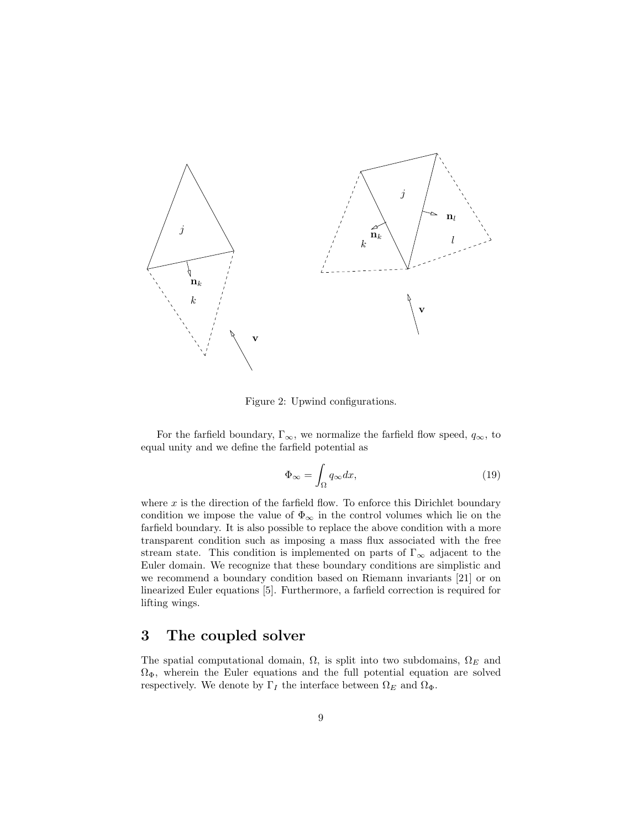

Figure 2: Upwind configurations.

For the farfield boundary,  $\Gamma_{\infty}$ , we normalize the farfield flow speed,  $q_{\infty}$ , to equal unity and we define the farfield potential as

$$
\Phi_{\infty} = \int_{\Omega} q_{\infty} dx, \tag{19}
$$

where  $x$  is the direction of the farfield flow. To enforce this Dirichlet boundary condition we impose the value of  $\Phi_{\infty}$  in the control volumes which lie on the farfield boundary. It is also possible to replace the above condition with a more transparent condition such as imposing a mass flux associated with the free stream state. This condition is implemented on parts of  $\Gamma_{\infty}$  adjacent to the Euler domain. We recognize that these boundary conditions are simplistic and we recommend a boundary condition based on Riemann invariants [21] or on linearized Euler equations [5]. Furthermore, a farfield correction is required for lifting wings.

# **3 The coupled solver**

The spatial computational domain,  $\Omega$ , is split into two subdomains,  $\Omega_E$  and  $\Omega_{\Phi}$ , wherein the Euler equations and the full potential equation are solved respectively. We denote by  $\Gamma_I$  the interface between  $\Omega_E$  and  $\Omega_{\Phi}$ .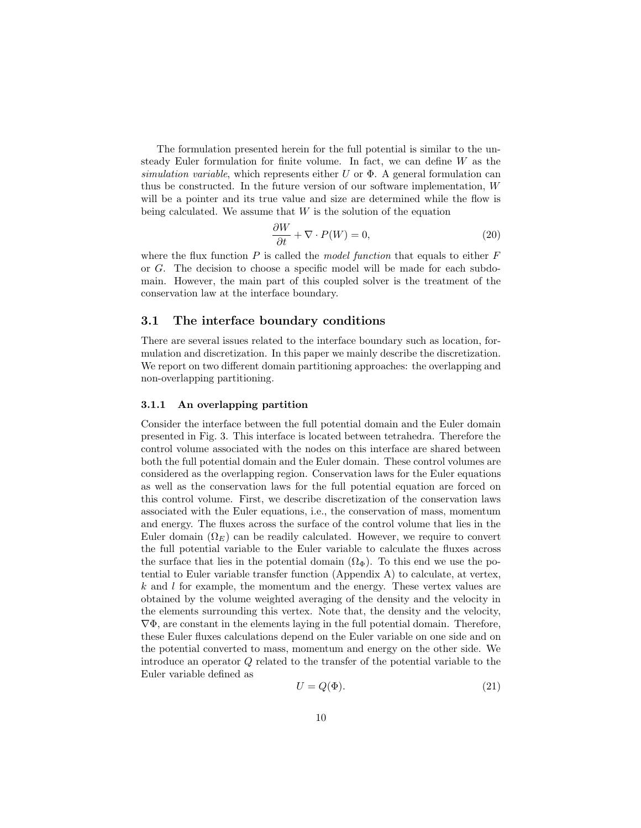The formulation presented herein for the full potential is similar to the unsteady Euler formulation for finite volume. In fact, we can define W as the simulation variable, which represents either U or  $\Phi$ . A general formulation can thus be constructed. In the future version of our software implementation, W will be a pointer and its true value and size are determined while the flow is being calculated. We assume that  $W$  is the solution of the equation

$$
\frac{\partial W}{\partial t} + \nabla \cdot P(W) = 0,\t\t(20)
$$

where the flux function  $P$  is called the model function that equals to either  $F$ or G. The decision to choose a specific model will be made for each subdomain. However, the main part of this coupled solver is the treatment of the conservation law at the interface boundary.

# **3.1 The interface boundary conditions**

There are several issues related to the interface boundary such as location, formulation and discretization. In this paper we mainly describe the discretization. We report on two different domain partitioning approaches: the overlapping and non-overlapping partitioning.

#### **3.1.1 An overlapping partition**

Consider the interface between the full potential domain and the Euler domain presented in Fig. 3. This interface is located between tetrahedra. Therefore the control volume associated with the nodes on this interface are shared between both the full potential domain and the Euler domain. These control volumes are considered as the overlapping region. Conservation laws for the Euler equations as well as the conservation laws for the full potential equation are forced on this control volume. First, we describe discretization of the conservation laws associated with the Euler equations, i.e., the conservation of mass, momentum and energy. The fluxes across the surface of the control volume that lies in the Euler domain  $(\Omega_F)$  can be readily calculated. However, we require to convert the full potential variable to the Euler variable to calculate the fluxes across the surface that lies in the potential domain  $(\Omega_{\Phi})$ . To this end we use the potential to Euler variable transfer function (Appendix A) to calculate, at vertex,  $k$  and  $l$  for example, the momentum and the energy. These vertex values are obtained by the volume weighted averaging of the density and the velocity in the elements surrounding this vertex. Note that, the density and the velocity,  $\nabla \Phi$ , are constant in the elements laying in the full potential domain. Therefore, these Euler fluxes calculations depend on the Euler variable on one side and on the potential converted to mass, momentum and energy on the other side. We introduce an operator Q related to the transfer of the potential variable to the Euler variable defined as

$$
U = Q(\Phi). \tag{21}
$$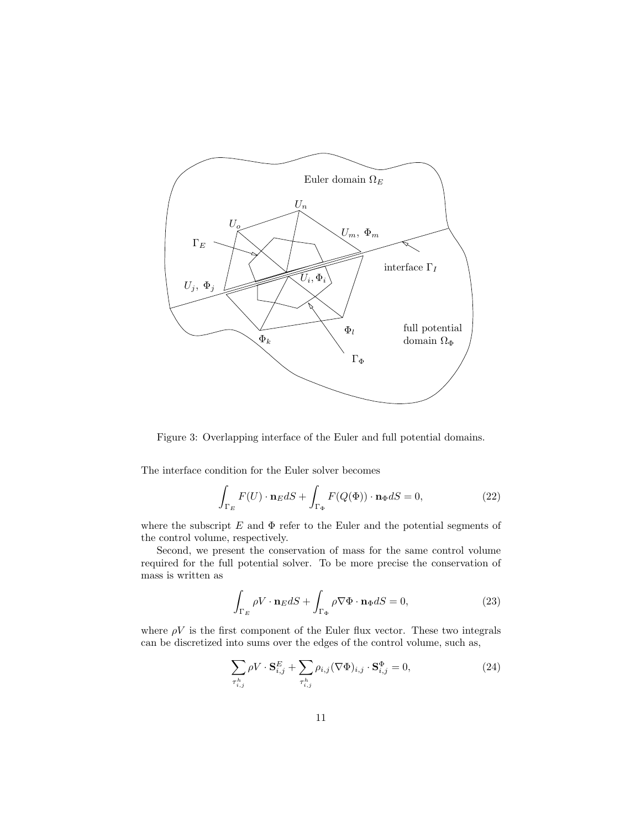

Figure 3: Overlapping interface of the Euler and full potential domains.

The interface condition for the Euler solver becomes

$$
\int_{\Gamma_E} F(U) \cdot \mathbf{n}_E dS + \int_{\Gamma_{\Phi}} F(Q(\Phi)) \cdot \mathbf{n}_{\Phi} dS = 0,
$$
\n(22)

where the subscript  $E$  and  $\Phi$  refer to the Euler and the potential segments of the control volume, respectively.

Second, we present the conservation of mass for the same control volume required for the full potential solver. To be more precise the conservation of mass is written as

$$
\int_{\Gamma_E} \rho V \cdot \mathbf{n}_E dS + \int_{\Gamma_{\Phi}} \rho \nabla \Phi \cdot \mathbf{n}_{\Phi} dS = 0,
$$
\n(23)

where  $\rho V$  is the first component of the Euler flux vector. These two integrals can be discretized into sums over the edges of the control volume, such as,

$$
\sum_{\tau_{i,j}^h} \rho V \cdot \mathbf{S}_{i,j}^E + \sum_{\tau_{i,j}^h} \rho_{i,j} (\nabla \Phi)_{i,j} \cdot \mathbf{S}_{i,j}^\Phi = 0, \tag{24}
$$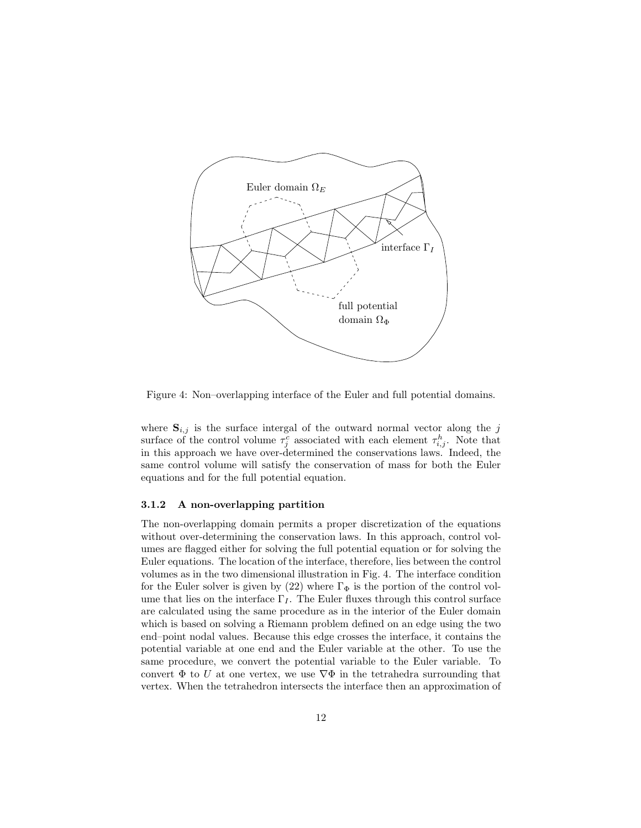

Figure 4: Non–overlapping interface of the Euler and full potential domains.

where  $S_{i,j}$  is the surface intergal of the outward normal vector along the j surface of the control volume  $\tau_j^c$  associated with each element  $\tau_{i,j}^h$ . Note that in this approach we have over-determined the conservations laws. Indeed, the same control volume will satisfy the conservation of mass for both the Euler equations and for the full potential equation.

### **3.1.2 A non-overlapping partition**

The non-overlapping domain permits a proper discretization of the equations without over-determining the conservation laws. In this approach, control volumes are flagged either for solving the full potential equation or for solving the Euler equations. The location of the interface, therefore, lies between the control volumes as in the two dimensional illustration in Fig. 4. The interface condition for the Euler solver is given by (22) where  $\Gamma_{\Phi}$  is the portion of the control volume that lies on the interface  $\Gamma_I$ . The Euler fluxes through this control surface are calculated using the same procedure as in the interior of the Euler domain which is based on solving a Riemann problem defined on an edge using the two end–point nodal values. Because this edge crosses the interface, it contains the potential variable at one end and the Euler variable at the other. To use the same procedure, we convert the potential variable to the Euler variable. To convert  $\Phi$  to U at one vertex, we use  $\nabla \Phi$  in the tetrahedra surrounding that vertex. When the tetrahedron intersects the interface then an approximation of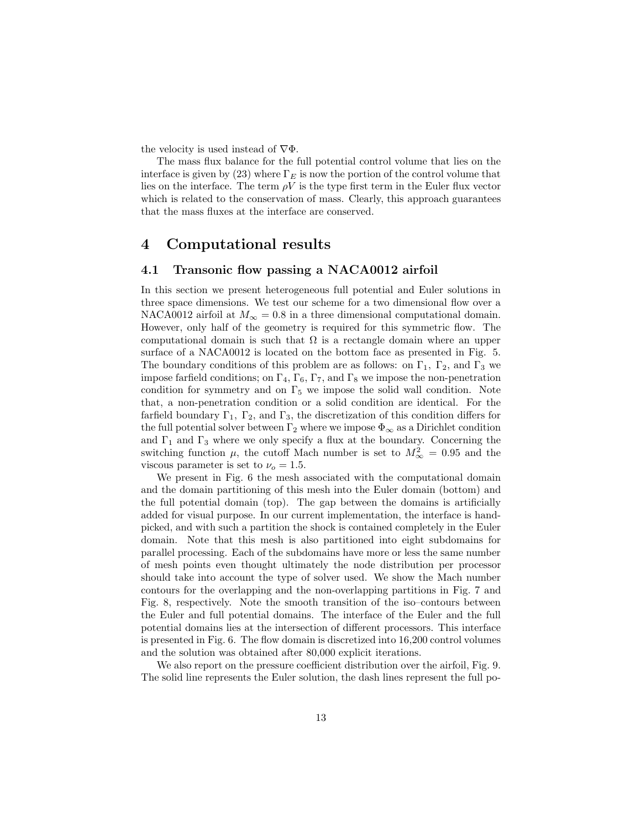the velocity is used instead of  $\nabla \Phi$ .

The mass flux balance for the full potential control volume that lies on the interface is given by (23) where  $\Gamma_E$  is now the portion of the control volume that lies on the interface. The term  $\rho V$  is the type first term in the Euler flux vector which is related to the conservation of mass. Clearly, this approach guarantees that the mass fluxes at the interface are conserved.

# **4 Computational results**

# **4.1 Transonic flow passing a NACA0012 airfoil**

In this section we present heterogeneous full potential and Euler solutions in three space dimensions. We test our scheme for a two dimensional flow over a NACA0012 airfoil at  $M_{\infty} = 0.8$  in a three dimensional computational domain. However, only half of the geometry is required for this symmetric flow. The computational domain is such that  $\Omega$  is a rectangle domain where an upper surface of a NACA0012 is located on the bottom face as presented in Fig. 5. The boundary conditions of this problem are as follows: on  $\Gamma_1$ ,  $\Gamma_2$ , and  $\Gamma_3$  we impose farfield conditions; on  $\Gamma_4$ ,  $\Gamma_6$ ,  $\Gamma_7$ , and  $\Gamma_8$  we impose the non-penetration condition for symmetry and on  $\Gamma_5$  we impose the solid wall condition. Note that, a non-penetration condition or a solid condition are identical. For the farfield boundary  $\Gamma_1$ ,  $\Gamma_2$ , and  $\Gamma_3$ , the discretization of this condition differs for the full potential solver between  $\Gamma_2$  where we impose  $\Phi_{\infty}$  as a Dirichlet condition and  $\Gamma_1$  and  $\Gamma_3$  where we only specify a flux at the boundary. Concerning the switching function  $\mu$ , the cutoff Mach number is set to  $M_{\infty}^2 = 0.95$  and the viscous parameter is set to  $\nu_o = 1.5$ .

We present in Fig. 6 the mesh associated with the computational domain and the domain partitioning of this mesh into the Euler domain (bottom) and the full potential domain (top). The gap between the domains is artificially added for visual purpose. In our current implementation, the interface is handpicked, and with such a partition the shock is contained completely in the Euler domain. Note that this mesh is also partitioned into eight subdomains for parallel processing. Each of the subdomains have more or less the same number of mesh points even thought ultimately the node distribution per processor should take into account the type of solver used. We show the Mach number contours for the overlapping and the non-overlapping partitions in Fig. 7 and Fig. 8, respectively. Note the smooth transition of the iso–contours between the Euler and full potential domains. The interface of the Euler and the full potential domains lies at the intersection of different processors. This interface is presented in Fig. 6. The flow domain is discretized into 16,200 control volumes and the solution was obtained after 80,000 explicit iterations.

We also report on the pressure coefficient distribution over the airfoil, Fig. 9. The solid line represents the Euler solution, the dash lines represent the full po-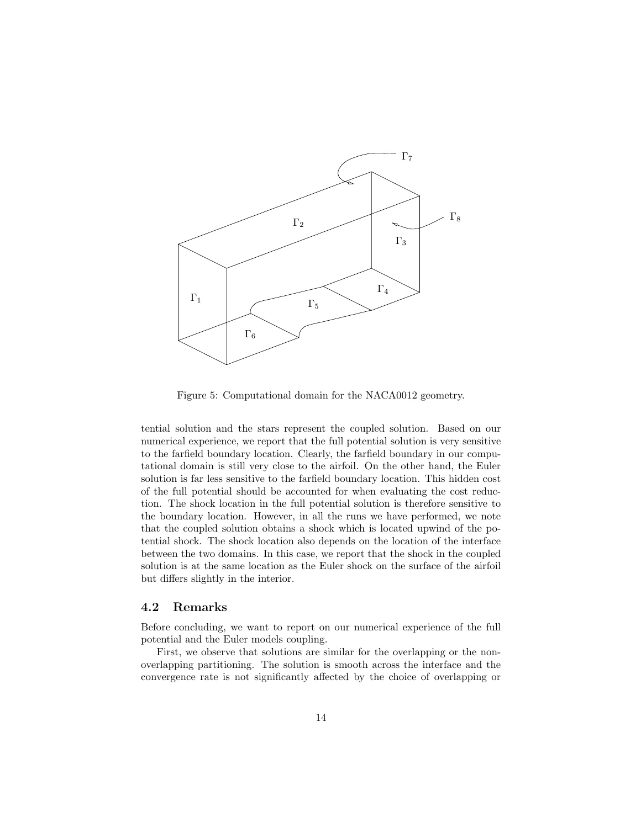

Figure 5: Computational domain for the NACA0012 geometry.

tential solution and the stars represent the coupled solution. Based on our numerical experience, we report that the full potential solution is very sensitive to the farfield boundary location. Clearly, the farfield boundary in our computational domain is still very close to the airfoil. On the other hand, the Euler solution is far less sensitive to the farfield boundary location. This hidden cost of the full potential should be accounted for when evaluating the cost reduction. The shock location in the full potential solution is therefore sensitive to the boundary location. However, in all the runs we have performed, we note that the coupled solution obtains a shock which is located upwind of the potential shock. The shock location also depends on the location of the interface between the two domains. In this case, we report that the shock in the coupled solution is at the same location as the Euler shock on the surface of the airfoil but differs slightly in the interior.

### **4.2 Remarks**

Before concluding, we want to report on our numerical experience of the full potential and the Euler models coupling.

First, we observe that solutions are similar for the overlapping or the nonoverlapping partitioning. The solution is smooth across the interface and the convergence rate is not significantly affected by the choice of overlapping or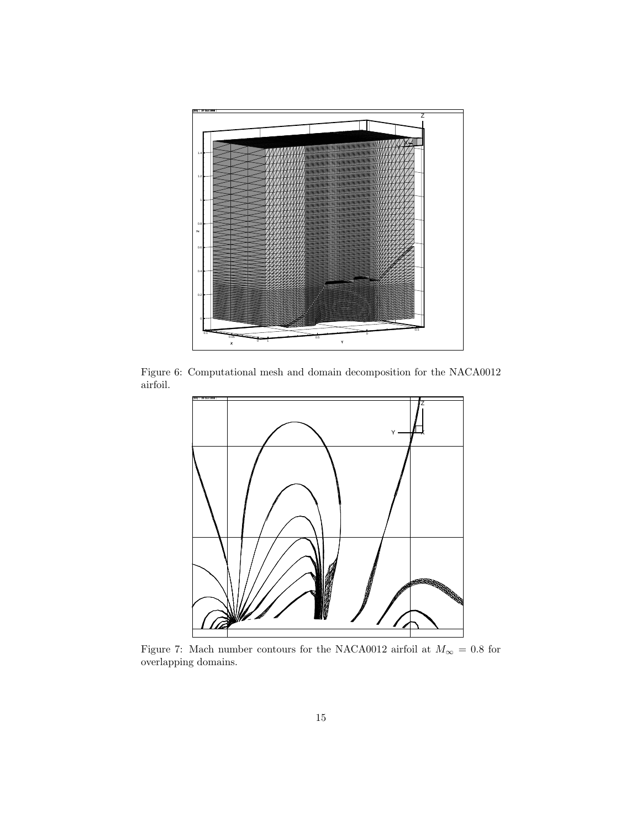

Figure 6: Computational mesh and domain decomposition for the NACA0012 airfoil.



Figure 7: Mach number contours for the NACA0012 airfoil at  $M_\infty$  = 0.8 for overlapping domains.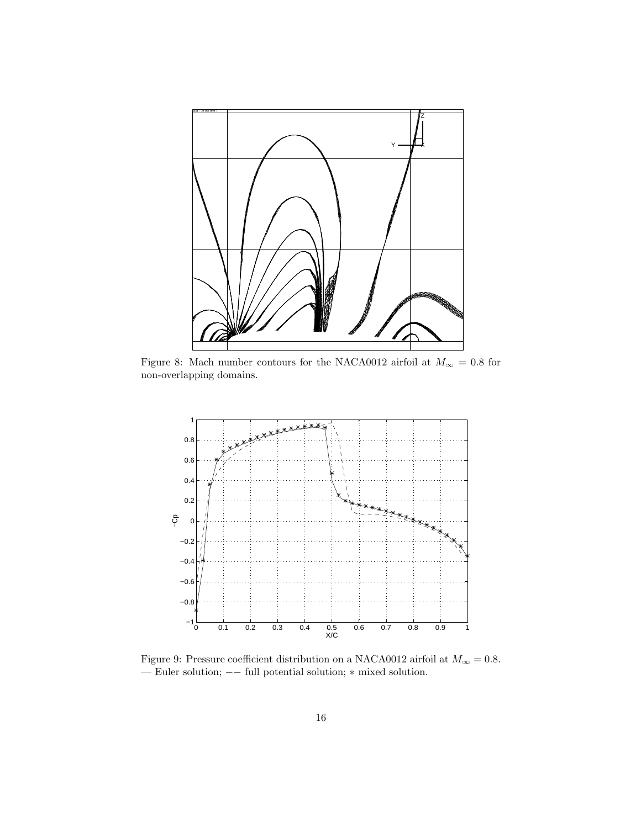

Figure 8: Mach number contours for the NACA0012 airfoil at  $M_{\infty} = 0.8$  for non-overlapping domains.



Figure 9: Pressure coefficient distribution on a NACA0012 airfoil at  $M_\infty=0.8.$ — Euler solution; −− full potential solution; ∗ mixed solution.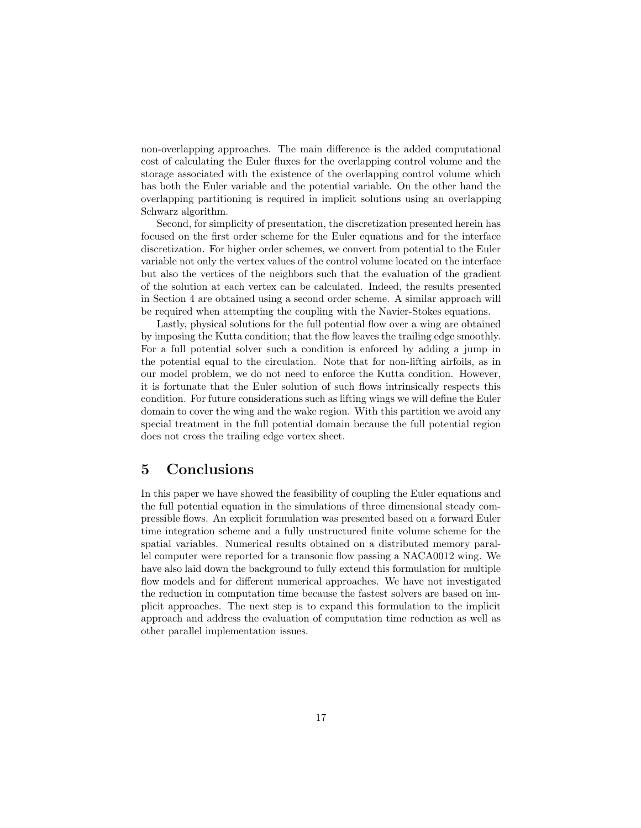non-overlapping approaches. The main difference is the added computational cost of calculating the Euler fluxes for the overlapping control volume and the storage associated with the existence of the overlapping control volume which has both the Euler variable and the potential variable. On the other hand the overlapping partitioning is required in implicit solutions using an overlapping Schwarz algorithm.

Second, for simplicity of presentation, the discretization presented herein has focused on the first order scheme for the Euler equations and for the interface discretization. For higher order schemes, we convert from potential to the Euler variable not only the vertex values of the control volume located on the interface but also the vertices of the neighbors such that the evaluation of the gradient of the solution at each vertex can be calculated. Indeed, the results presented in Section 4 are obtained using a second order scheme. A similar approach will be required when attempting the coupling with the Navier-Stokes equations.

Lastly, physical solutions for the full potential flow over a wing are obtained by imposing the Kutta condition; that the flow leaves the trailing edge smoothly. For a full potential solver such a condition is enforced by adding a jump in the potential equal to the circulation. Note that for non-lifting airfoils, as in our model problem, we do not need to enforce the Kutta condition. However, it is fortunate that the Euler solution of such flows intrinsically respects this condition. For future considerations such as lifting wings we will define the Euler domain to cover the wing and the wake region. With this partition we avoid any special treatment in the full potential domain because the full potential region does not cross the trailing edge vortex sheet.

# **5 Conclusions**

In this paper we have showed the feasibility of coupling the Euler equations and the full potential equation in the simulations of three dimensional steady compressible flows. An explicit formulation was presented based on a forward Euler time integration scheme and a fully unstructured finite volume scheme for the spatial variables. Numerical results obtained on a distributed memory parallel computer were reported for a transonic flow passing a NACA0012 wing. We have also laid down the background to fully extend this formulation for multiple flow models and for different numerical approaches. We have not investigated the reduction in computation time because the fastest solvers are based on implicit approaches. The next step is to expand this formulation to the implicit approach and address the evaluation of computation time reduction as well as other parallel implementation issues.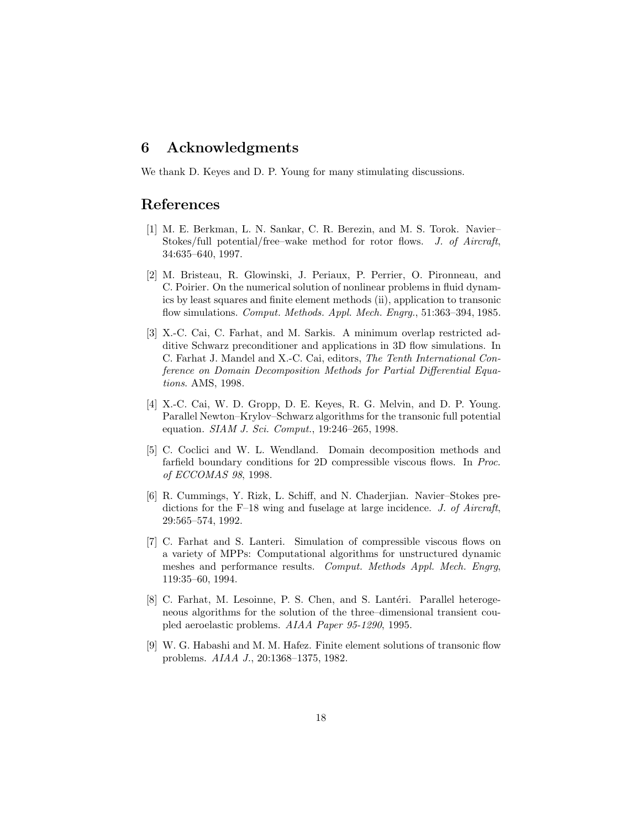# **6 Acknowledgments**

We thank D. Keyes and D. P. Young for many stimulating discussions.

# **References**

- [1] M. E. Berkman, L. N. Sankar, C. R. Berezin, and M. S. Torok. Navier– Stokes/full potential/free–wake method for rotor flows. J. of Aircraft, 34:635–640, 1997.
- [2] M. Bristeau, R. Glowinski, J. Periaux, P. Perrier, O. Pironneau, and C. Poirier. On the numerical solution of nonlinear problems in fluid dynamics by least squares and finite element methods (ii), application to transonic flow simulations. Comput. Methods. Appl. Mech. Engrg., 51:363-394, 1985.
- [3] X.-C. Cai, C. Farhat, and M. Sarkis. A minimum overlap restricted additive Schwarz preconditioner and applications in 3D flow simulations. In C. Farhat J. Mandel and X.-C. Cai, editors, The Tenth International Conference on Domain Decomposition Methods for Partial Differential Equations. AMS, 1998.
- [4] X.-C. Cai, W. D. Gropp, D. E. Keyes, R. G. Melvin, and D. P. Young. Parallel Newton–Krylov–Schwarz algorithms for the transonic full potential equation. *SIAM J. Sci. Comput.*, 19:246-265, 1998.
- [5] C. Coclici and W. L. Wendland. Domain decomposition methods and farfield boundary conditions for 2D compressible viscous flows. In Proc. of ECCOMAS 98, 1998.
- [6] R. Cummings, Y. Rizk, L. Schiff, and N. Chaderjian. Navier–Stokes predictions for the F–18 wing and fuselage at large incidence. J. of Aircraft, 29:565–574, 1992.
- [7] C. Farhat and S. Lanteri. Simulation of compressible viscous flows on a variety of MPPs: Computational algorithms for unstructured dynamic meshes and performance results. Comput. Methods Appl. Mech. Engrg, 119:35–60, 1994.
- [8] C. Farhat, M. Lesoinne, P. S. Chen, and S. Lantéri. Parallel heterogeneous algorithms for the solution of the three–dimensional transient coupled aeroelastic problems. AIAA Paper 95-1290, 1995.
- [9] W. G. Habashi and M. M. Hafez. Finite element solutions of transonic flow problems. AIAA J., 20:1368–1375, 1982.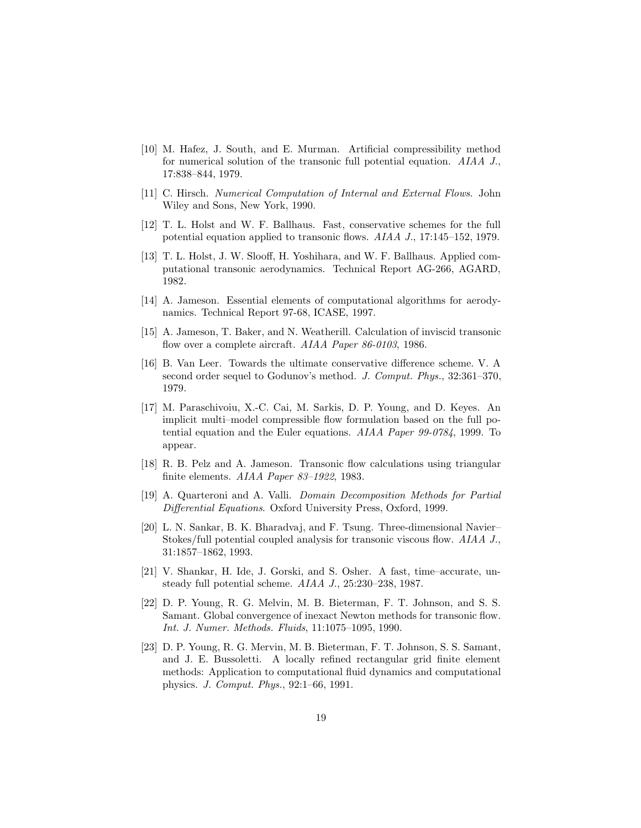- [10] M. Hafez, J. South, and E. Murman. Artificial compressibility method for numerical solution of the transonic full potential equation. AIAA J., 17:838–844, 1979.
- [11] C. Hirsch. Numerical Computation of Internal and External Flows. John Wiley and Sons, New York, 1990.
- [12] T. L. Holst and W. F. Ballhaus. Fast, conservative schemes for the full potential equation applied to transonic flows. AIAA J., 17:145–152, 1979.
- [13] T. L. Holst, J. W. Slooff, H. Yoshihara, and W. F. Ballhaus. Applied computational transonic aerodynamics. Technical Report AG-266, AGARD, 1982.
- [14] A. Jameson. Essential elements of computational algorithms for aerodynamics. Technical Report 97-68, ICASE, 1997.
- [15] A. Jameson, T. Baker, and N. Weatherill. Calculation of inviscid transonic flow over a complete aircraft. AIAA Paper 86-0103, 1986.
- [16] B. Van Leer. Towards the ultimate conservative difference scheme. V. A second order sequel to Godunov's method. J. Comput. Phys., 32:361-370, 1979.
- [17] M. Paraschivoiu, X.-C. Cai, M. Sarkis, D. P. Young, and D. Keyes. An implicit multi–model compressible flow formulation based on the full potential equation and the Euler equations. AIAA Paper 99-0784, 1999. To appear.
- [18] R. B. Pelz and A. Jameson. Transonic flow calculations using triangular finite elements. AIAA Paper 83–1922, 1983.
- [19] A. Quarteroni and A. Valli. Domain Decomposition Methods for Partial Differential Equations. Oxford University Press, Oxford, 1999.
- [20] L. N. Sankar, B. K. Bharadvaj, and F. Tsung. Three-dimensional Navier– Stokes/full potential coupled analysis for transonic viscous flow. AIAA J., 31:1857–1862, 1993.
- [21] V. Shankar, H. Ide, J. Gorski, and S. Osher. A fast, time–accurate, unsteady full potential scheme. AIAA J., 25:230–238, 1987.
- [22] D. P. Young, R. G. Melvin, M. B. Bieterman, F. T. Johnson, and S. S. Samant. Global convergence of inexact Newton methods for transonic flow. Int. J. Numer. Methods. Fluids, 11:1075–1095, 1990.
- [23] D. P. Young, R. G. Mervin, M. B. Bieterman, F. T. Johnson, S. S. Samant, and J. E. Bussoletti. A locally refined rectangular grid finite element methods: Application to computational fluid dynamics and computational physics. J. Comput. Phys., 92:1–66, 1991.